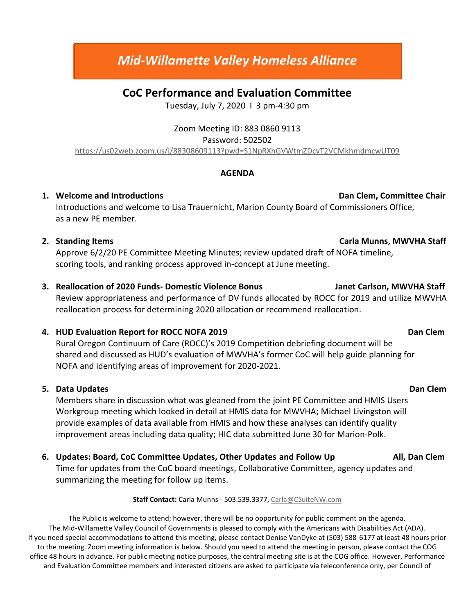# *Mid-Willamette Valley Homeless Alliance*

## **CoC Performance and Evaluation Committee**

Tuesday, July 7, 2020 I 3 pm-4:30 pm

### Zoom Meeting ID: 883 0860 9113

#### Password: 502502

<https://us02web.zoom.us/j/88308609113?pwd=S1NpRXhGVWtmZDcvT2VCMkhmdmcwUT09>

#### **AGENDA**

#### **1.** Welcome and Introductions **Dan Clement Committee Chair**

Introductions and welcome to Lisa Trauernicht, Marion County Board of Commissioners Office, as a new PE member.

### **2. Standing Items Carla Munns, MWVHA Staff**

Approve 6/2/20 PE Committee Meeting Minutes; review updated draft of NOFA timeline, scoring tools, and ranking process approved in-concept at June meeting.

**3. Reallocation of 2020 Funds- Domestic Violence Bonus Janet Carlson, MWVHA Staff** Review appropriateness and performance of DV funds allocated by ROCC for 2019 and utilize MWVHA reallocation process for determining 2020 allocation or recommend reallocation.

### **4. HUD Evaluation Report for ROCC NOFA 2019 Dan Clem**

Rural Oregon Continuum of Care (ROCC)'s 2019 Competition debriefing document will be shared and discussed as HUD's evaluation of MWVHA's former CoC will help guide planning for NOFA and identifying areas of improvement for 2020-2021.

### **5.** Data Updates Dan Clement Controllering of the Updates Dan Clement Controllering of the Dan Clement Controllering of the Updates of the Updates of the Updates of the Updates of the Updates of the Updates of the Updates

Members share in discussion what was gleaned from the joint PE Committee and HMIS Users Workgroup meeting which looked in detail at HMIS data for MWVHA; Michael Livingston will provide examples of data available from HMIS and how these analyses can identify quality improvement areas including data quality; HIC data submitted June 30 for Marion-Polk.

### **6. Updates: Board, CoC Committee Updates, Other Updates and Follow Up All, Dan Clem**

Time for updates from the CoC board meetings, Collaborative Committee, agency updates and summarizing the meeting for follow up items.

#### **Staff Contact:** Carla Munns - 503.539.3377[, Carla@CSuiteNW.com](mailto:Carla@CSuiteNW.com)

The Public is welcome to attend; however, there will be no opportunity for public comment on the agenda. The Mid-Willamette Valley Council of Governments is pleased to comply with the Americans with Disabilities Act (ADA). If you need special accommodations to attend this meeting, please contact Denise VanDyke at (503) 588-6177 at least 48 hours prior to the meeting. Zoom meeting information is below. Should you need to attend the meeting in person, please contact the COG office 48 hours in advance. For public meeting notice purposes, the central meeting site is at the COG office. However, Performance and Evaluation Committee members and interested citizens are asked to participate via teleconference only, per Council of